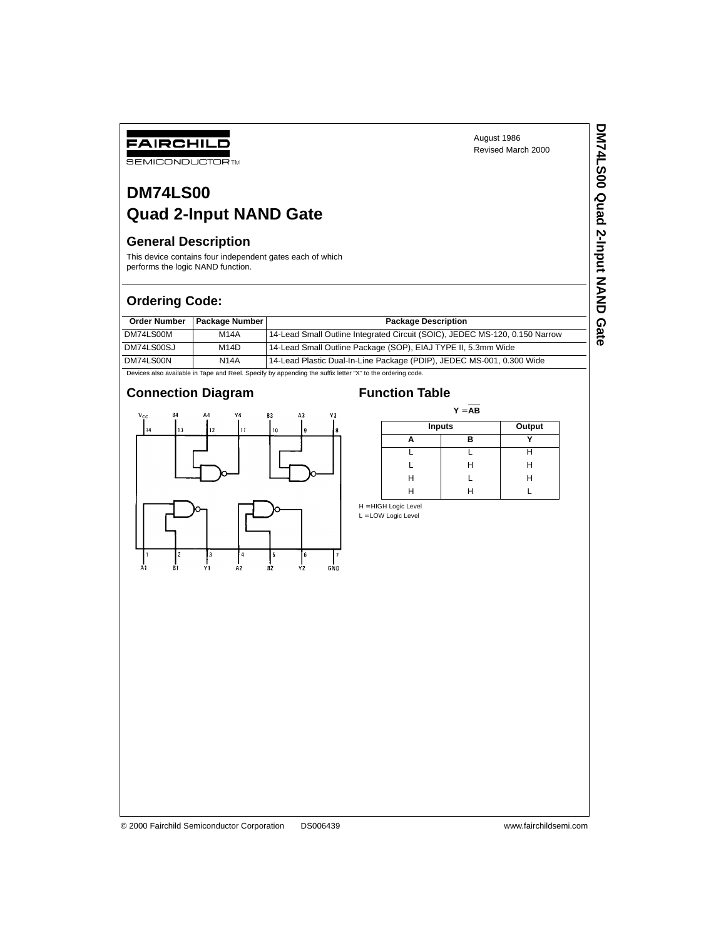**DM74LS00 Quad 2-Input NAND Gate**

DM74LS00 Quad 2-Input NAND Gate

# **DM74LS00 Quad 2-Input NAND Gate**

# **General Description**

FAIRCHILD **SEMICONDUCTOR TM** 

This device contains four independent gates each of which performs the logic NAND function.

# **Ordering Code:**

| <b>Order Number</b> | <b>Package Number</b> | <b>Package Description</b>                                                  |
|---------------------|-----------------------|-----------------------------------------------------------------------------|
| DM74LS00M           | <b>M14A</b>           | 14-Lead Small Outline Integrated Circuit (SOIC), JEDEC MS-120, 0.150 Narrow |
| DM74LS00SJ          | M <sub>14</sub> D     | 14-Lead Small Outline Package (SOP), EIAJ TYPE II, 5.3mm Wide               |
| DM74LS00N           | <b>N14A</b>           | 14-Lead Plastic Dual-In-Line Package (PDIP), JEDEC MS-001, 0.300 Wide       |

Devices also available in Tape and Reel. Specify by appending the suffix letter "X" to the ordering code.

### **Connection Diagram Function Table**



 $Y = \overline{AB}$ 

|   | <b>Inputs</b> |   |
|---|---------------|---|
|   | R             |   |
|   |               |   |
|   | н             | н |
| н |               | н |
|   |               |   |

H = HIGH Logic Level  $L =$  LOW Logic Level

© 2000 Fairchild Semiconductor Corporation DS006439 www.fairchildsemi.com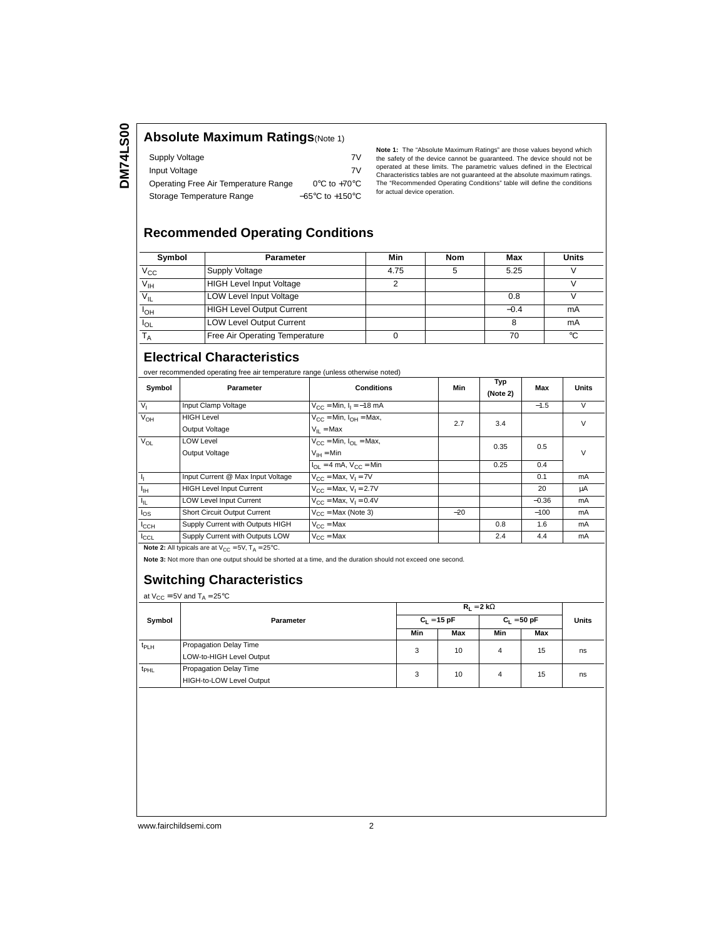### **Absolute Maximum Ratings**(Note 1)

| Supply Voltage                       | 7V                                  |
|--------------------------------------|-------------------------------------|
| Input Voltage                        | 7V                                  |
| Operating Free Air Temperature Range | $0^{\circ}$ C to +70 $^{\circ}$ C   |
| Storage Temperature Range            | $-65^{\circ}$ C to $+150^{\circ}$ C |

**Note 1:** The "Absolute Maximum Ratings" are those values beyond which<br>the safety of the device cannot be guaranteed. The device should not be<br>operated at these limits. The parametric values defined in the Electrical Characteristics tables are not guaranteed at the absolute maximum ratings. The "Recommended Operating Conditions" table will define the conditions for actual device operation.

### **Recommended Operating Conditions**

| Symbol                | <b>Parameter</b>                 | Min  | Nom | Max    | <b>Units</b> |
|-----------------------|----------------------------------|------|-----|--------|--------------|
| $V_{\rm CC}$          | <b>Supply Voltage</b>            | 4.75 |     | 5.25   |              |
| $V_{\text{IH}}$       | <b>HIGH Level Input Voltage</b>  |      |     |        |              |
| $V_{IL}$              | <b>LOW Level Input Voltage</b>   |      |     | 0.8    |              |
| <b>I<sub>OH</sub></b> | <b>HIGH Level Output Current</b> |      |     | $-0.4$ | mA           |
| $I_{OL}$              | <b>LOW Level Output Current</b>  |      |     |        | mA           |
|                       | Free Air Operating Temperature   |      |     | 70     | °C           |

# **Electrical Characteristics**

over recommended operating free air temperature range (unless otherwise noted)

| Symbol           | Parameter                                                                | <b>Conditions</b>                                             | Min   | Typ<br>(Note 2) | Max     | Units  |
|------------------|--------------------------------------------------------------------------|---------------------------------------------------------------|-------|-----------------|---------|--------|
| V <sub>1</sub>   | Input Clamp Voltage                                                      | $V_{CC}$ = Min, $I_1$ = -18 mA                                |       |                 | $-1.5$  | V      |
| $V_{OH}$         | <b>HIGH Level</b>                                                        | $V_{CC}$ = Min, $I_{OH}$ = Max,                               | 2.7   | 3.4             |         | v      |
|                  | Output Voltage                                                           | $V_{II}$ = Max                                                |       |                 |         |        |
| $V_{OL}$         | <b>LOW Level</b>                                                         | $V_{CC}$ = Min, $I_{OL}$ = Max,                               |       | 0.35            | 0.5     | $\vee$ |
|                  | Output Voltage                                                           | $V_{IH} = Min$                                                |       |                 |         |        |
|                  |                                                                          | $I_{\text{OL}} = 4 \text{ mA}$ , $V_{\text{CC}} = \text{Min}$ |       | 0.25            | 0.4     |        |
| 4                | Input Current @ Max Input Voltage                                        | $V_{\text{CC}}$ = Max, $V_{\text{I}}$ = 7V                    |       |                 | 0.1     | mA     |
| $I_{\rm IH}$     | <b>HIGH Level Input Current</b>                                          | $V_{CC}$ = Max, $V_1$ = 2.7V                                  |       |                 | 20      | μA     |
| Ιμ,              | <b>LOW Level Input Current</b>                                           | $V_{CC}$ = Max, $V_1$ = 0.4V                                  |       |                 | $-0.36$ | mA     |
| $I_{OS}$         | Short Circuit Output Current                                             | $V_{CC}$ = Max (Note 3)                                       | $-20$ |                 | $-100$  | mA     |
| $I_{\text{CCH}}$ | Supply Current with Outputs HIGH                                         | $V_{C}$ = Max                                                 |       | 0.8             | 1.6     | mA     |
| ICCL             | Supply Current with Outputs LOW                                          | $V_{C}C = Max$                                                |       | 2.4             | 4.4     | mA     |
|                  | <b>Note 2:</b> All typicals are at $V_{CC} = 5V$ , $T_A = 25^{\circ}C$ . |                                                               |       |                 |         |        |

**Note 3:** Not more than one output should be shorted at a time, and the duration should not exceed one second.

# **Switching Characteristics**

at  $V_{CC} = 5V$  and  $T_A = 25^{\circ}C$ 

| Symbol           | Parameter                                          | $R_1 = 2 k\Omega$ |     |               |     |              |
|------------------|----------------------------------------------------|-------------------|-----|---------------|-----|--------------|
|                  |                                                    | $C_1 = 15 pF$     |     | $C_1 = 50 pF$ |     | <b>Units</b> |
|                  |                                                    | Min               | Max | Min           | Max |              |
| $t_{PLH}$        | Propagation Delay Time<br>LOW-to-HIGH Level Output | 3                 | 10  | 4             | 15  | ns           |
| $t_{\text{PHL}}$ | Propagation Delay Time<br>HIGH-to-LOW Level Output | 3                 | 10  | 4             | 15  | ns           |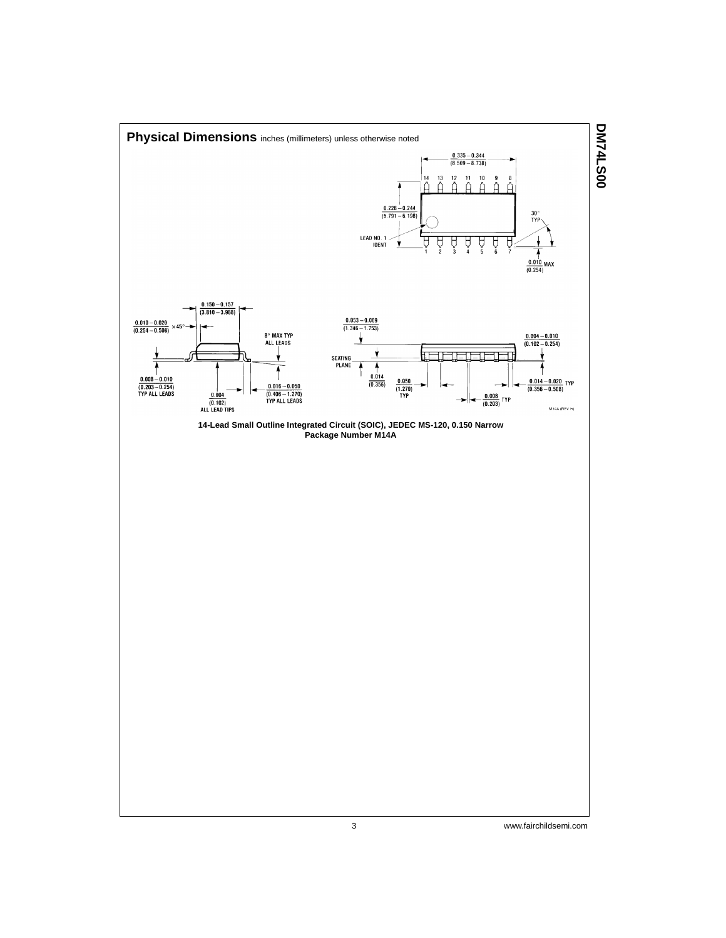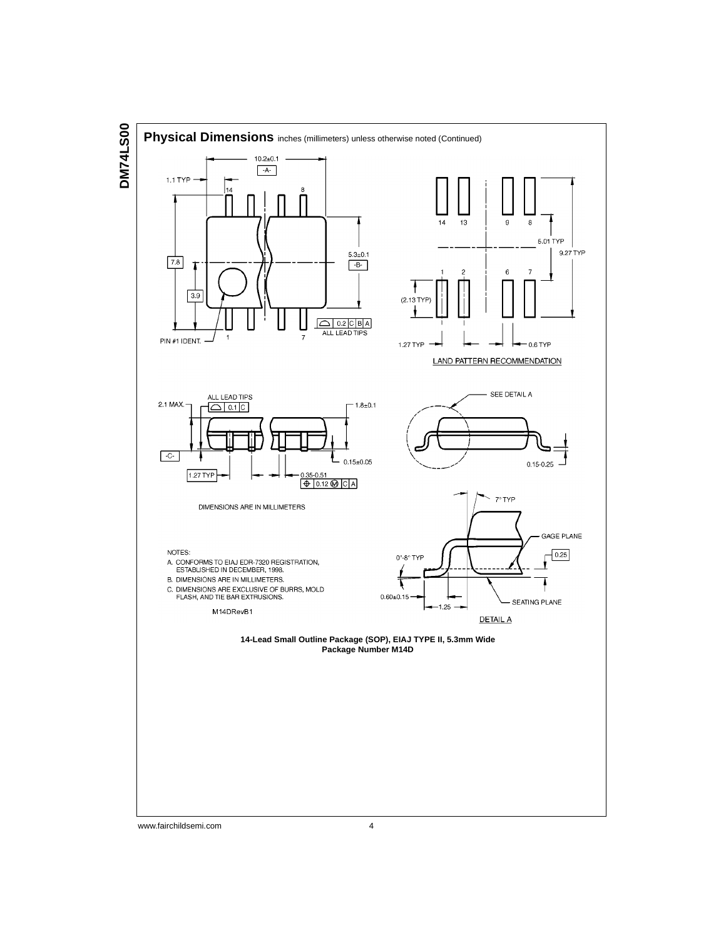